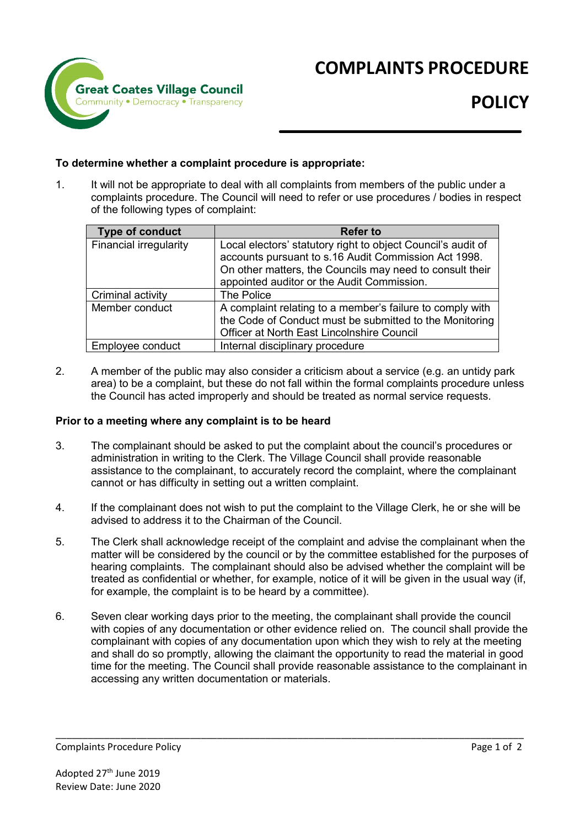

# **COMPLAINTS PROCEDURE**

### **To determine whether a complaint procedure is appropriate:**

1. It will not be appropriate to deal with all complaints from members of the public under a complaints procedure. The Council will need to refer or use procedures / bodies in respect of the following types of complaint:

| <b>Type of conduct</b>        | <b>Refer to</b>                                                                                                                                                                                                                |
|-------------------------------|--------------------------------------------------------------------------------------------------------------------------------------------------------------------------------------------------------------------------------|
| <b>Financial irregularity</b> | Local electors' statutory right to object Council's audit of<br>accounts pursuant to s.16 Audit Commission Act 1998.<br>On other matters, the Councils may need to consult their<br>appointed auditor or the Audit Commission. |
| Criminal activity             | The Police                                                                                                                                                                                                                     |
| Member conduct                | A complaint relating to a member's failure to comply with<br>the Code of Conduct must be submitted to the Monitoring<br>Officer at North East Lincolnshire Council                                                             |
| Employee conduct              | Internal disciplinary procedure                                                                                                                                                                                                |

2. A member of the public may also consider a criticism about a service (e.g. an untidy park area) to be a complaint, but these do not fall within the formal complaints procedure unless the Council has acted improperly and should be treated as normal service requests.

#### **Prior to a meeting where any complaint is to be heard**

- 3. The complainant should be asked to put the complaint about the council's procedures or administration in writing to the Clerk. The Village Council shall provide reasonable assistance to the complainant, to accurately record the complaint, where the complainant cannot or has difficulty in setting out a written complaint.
- 4. If the complainant does not wish to put the complaint to the Village Clerk, he or she will be advised to address it to the Chairman of the Council.
- 5. The Clerk shall acknowledge receipt of the complaint and advise the complainant when the matter will be considered by the council or by the committee established for the purposes of hearing complaints. The complainant should also be advised whether the complaint will be treated as confidential or whether, for example, notice of it will be given in the usual way (if, for example, the complaint is to be heard by a committee).
- 6. Seven clear working days prior to the meeting, the complainant shall provide the council with copies of any documentation or other evidence relied on. The council shall provide the complainant with copies of any documentation upon which they wish to rely at the meeting and shall do so promptly, allowing the claimant the opportunity to read the material in good time for the meeting. The Council shall provide reasonable assistance to the complainant in accessing any written documentation or materials.

\_\_\_\_\_\_\_\_\_\_\_\_\_\_\_\_\_\_\_\_\_\_\_\_\_\_\_\_\_\_\_\_\_\_\_\_\_\_\_\_\_\_\_\_\_\_\_\_\_\_\_\_\_\_\_\_\_\_\_\_\_\_\_\_\_\_\_\_\_\_\_\_\_\_\_\_\_\_\_\_\_\_\_\_\_\_\_